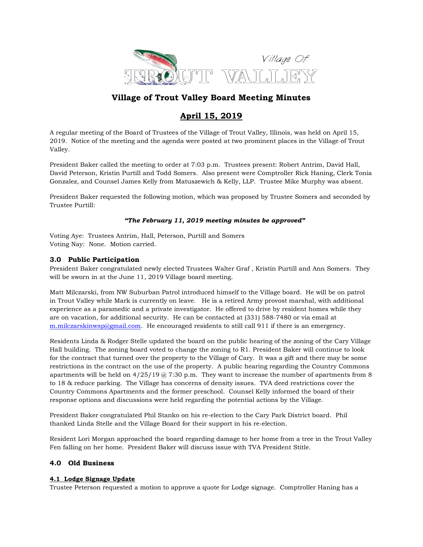

# Village of Trout Valley Board Meeting Minutes

# April 15, 2019

A regular meeting of the Board of Trustees of the Village of Trout Valley, Illinois, was held on April 15, 2019. Notice of the meeting and the agenda were posted at two prominent places in the Village of Trout Valley.

President Baker called the meeting to order at 7:03 p.m. Trustees present: Robert Antrim, David Hall, David Peterson, Kristin Purtill and Todd Somers. Also present were Comptroller Rick Haning, Clerk Tonia Gonzalez, and Counsel James Kelly from Matuszewich & Kelly, LLP. Trustee Mike Murphy was absent.

President Baker requested the following motion, which was proposed by Trustee Somers and seconded by Trustee Purtill:

# "The February 11, 2019 meeting minutes be approved"

Voting Aye: Trustees Antrim, Hall, Peterson, Purtill and Somers Voting Nay: None. Motion carried.

# 3.0 Public Participation

President Baker congratulated newly elected Trustees Walter Graf , Kristin Purtill and Ann Somers. They will be sworn in at the June 11, 2019 Village board meeting.

Matt Milczarski, from NW Suburban Patrol introduced himself to the Village board. He will be on patrol in Trout Valley while Mark is currently on leave. He is a retired Army provost marshal, with additional experience as a paramedic and a private investigator. He offered to drive by resident homes while they are on vacation, for additional security. He can be contacted at (331) 588-7480 or via email at m.milczarskinwsp@gmail.com. He encouraged residents to still call 911 if there is an emergency.

Residents Linda & Rodger Stelle updated the board on the public hearing of the zoning of the Cary Village Hall building. The zoning board voted to change the zoning to R1. President Baker will continue to look for the contract that turned over the property to the Village of Cary. It was a gift and there may be some restrictions in the contract on the use of the property. A public hearing regarding the Country Commons apartments will be held on  $4/25/19$  @ 7:30 p.m. They want to increase the number of apartments from 8 to 18 & reduce parking. The Village has concerns of density issues. TVA deed restrictions cover the Country Commons Apartments and the former preschool. Counsel Kelly informed the board of their response options and discussions were held regarding the potential actions by the Village.

President Baker congratulated Phil Stanko on his re-election to the Cary Park District board. Phil thanked Linda Stelle and the Village Board for their support in his re-election.

Resident Lori Morgan approached the board regarding damage to her home from a tree in the Trout Valley Fen falling on her home. President Baker will discuss issue with TVA President Stitle.

# 4.0 Old Business

# 4.1 Lodge Signage Update

Trustee Peterson requested a motion to approve a quote for Lodge signage. Comptroller Haning has a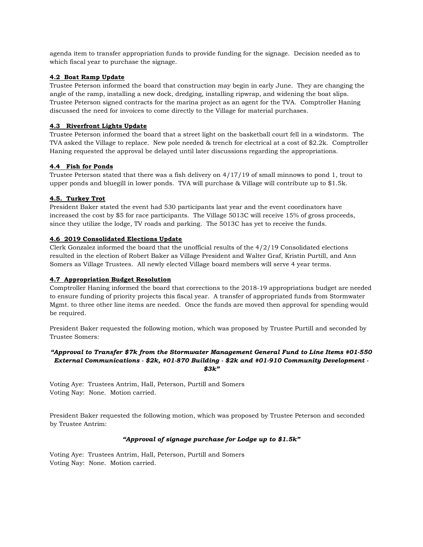agenda item to transfer appropriation funds to provide funding for the signage. Decision needed as to which fiscal year to purchase the signage.

## 4.2 Boat Ramp Update

Trustee Peterson informed the board that construction may begin in early June. They are changing the angle of the ramp, installing a new dock, dredging, installing ripwrap, and widening the boat slips. Trustee Peterson signed contracts for the marina project as an agent for the TVA. Comptroller Haning discussed the need for invoices to come directly to the Village for material purchases.

### 4.3 Riverfront Lights Update

Trustee Peterson informed the board that a street light on the basketball court fell in a windstorm. The TVA asked the Village to replace. New pole needed & trench for electrical at a cost of \$2.2k. Comptroller Haning requested the approval be delayed until later discussions regarding the appropriations.

# 4.4 Fish for Ponds

Trustee Peterson stated that there was a fish delivery on 4/17/19 of small minnows to pond 1, trout to upper ponds and bluegill in lower ponds. TVA will purchase & Village will contribute up to \$1.5k.

# 4.5. Turkey Trot

President Baker stated the event had 530 participants last year and the event coordinators have increased the cost by \$5 for race participants. The Village 5013C will receive 15% of gross proceeds, since they utilize the lodge, TV roads and parking. The 5013C has yet to receive the funds.

### 4.6 2019 Consolidated Elections Update

Clerk Gonzalez informed the board that the unofficial results of the  $4/2/19$  Consolidated elections resulted in the election of Robert Baker as Village President and Walter Graf, Kristin Purtill, and Ann Somers as Village Trustees. All newly elected Village board members will serve 4 year terms.

#### 4.7 Appropriation Budget Resolution

Comptroller Haning informed the board that corrections to the 2018-19 appropriations budget are needed to ensure funding of priority projects this fiscal year. A transfer of appropriated funds from Stormwater Mgmt. to three other line items are needed. Once the funds are moved then approval for spending would be required.

President Baker requested the following motion, which was proposed by Trustee Purtill and seconded by Trustee Somers:

## "Approval to Transfer \$7k from the Stormwater Management General Fund to Line Items #01-550 External Communications - \$2k, #01-870 Building - \$2k and #01-910 Community Development - \$3k"

Voting Aye: Trustees Antrim, Hall, Peterson, Purtill and Somers Voting Nay: None. Motion carried.

President Baker requested the following motion, which was proposed by Trustee Peterson and seconded by Trustee Antrim:

# "Approval of signage purchase for Lodge up to \$1.5k"

Voting Aye: Trustees Antrim, Hall, Peterson, Purtill and Somers Voting Nay: None. Motion carried.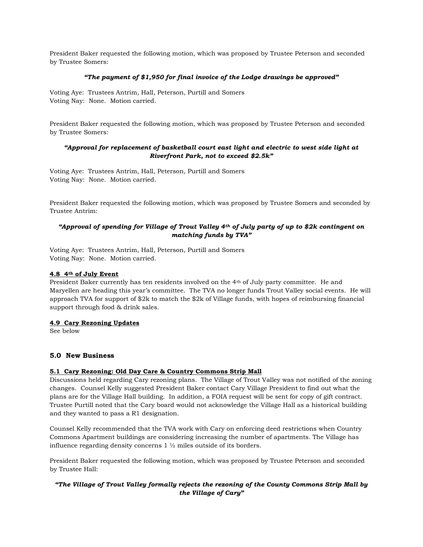President Baker requested the following motion, which was proposed by Trustee Peterson and seconded by Trustee Somers:

### "The payment of \$1,950 for final invoice of the Lodge drawings be approved"

Voting Aye: Trustees Antrim, Hall, Peterson, Purtill and Somers Voting Nay: None. Motion carried.

President Baker requested the following motion, which was proposed by Trustee Peterson and seconded by Trustee Somers:

# "Approval for replacement of basketball court east light and electric to west side light at Riverfront Park, not to exceed \$2.5k"

Voting Aye: Trustees Antrim, Hall, Peterson, Purtill and Somers Voting Nay: None. Motion carried.

President Baker requested the following motion, which was proposed by Trustee Somers and seconded by Trustee Antrim:

# "Approval of spending for Village of Trout Valley  $4^{th}$  of July party of up to \$2k contingent on matching funds by TVA"

Voting Aye: Trustees Antrim, Hall, Peterson, Purtill and Somers Voting Nay: None. Motion carried.

## 4.8 4th of July Event

President Baker currently has ten residents involved on the 4th of July party committee. He and Maryellen are heading this year's committee. The TVA no longer funds Trout Valley social events. He will approach TVA for support of \$2k to match the \$2k of Village funds, with hopes of reimbursing financial support through food & drink sales.

#### 4.9 Cary Rezoning Updates

See below

# 5.0 New Business

# 5.1 Cary Rezoning: Old Day Care & Country Commons Strip Mall

Discussions held regarding Cary rezoning plans. The Village of Trout Valley was not notified of the zoning changes. Counsel Kelly suggested President Baker contact Cary Village President to find out what the plans are for the Village Hall building. In addition, a FOIA request will be sent for copy of gift contract. Trustee Purtill noted that the Cary board would not acknowledge the Village Hall as a historical building and they wanted to pass a R1 designation.

Counsel Kelly recommended that the TVA work with Cary on enforcing deed restrictions when Country Commons Apartment buildings are considering increasing the number of apartments. The Village has influence regarding density concerns 1 ½ miles outside of its borders.

President Baker requested the following motion, which was proposed by Trustee Peterson and seconded by Trustee Hall:

# "The Village of Trout Valley formally rejects the rezoning of the County Commons Strip Mall by the Village of Cary"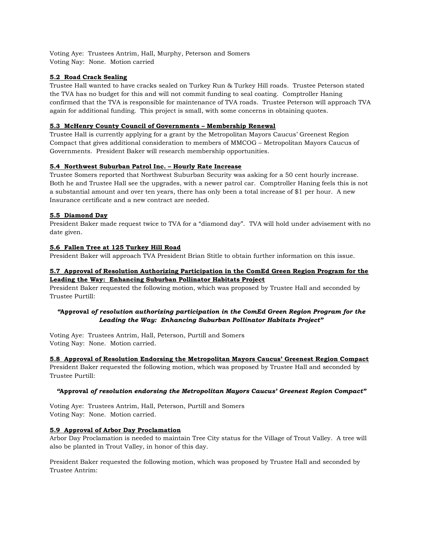Voting Aye: Trustees Antrim, Hall, Murphy, Peterson and Somers Voting Nay: None. Motion carried

# 5.2 Road Crack Sealing

Trustee Hall wanted to have cracks sealed on Turkey Run & Turkey Hill roads. Trustee Peterson stated the TVA has no budget for this and will not commit funding to seal coating. Comptroller Haning confirmed that the TVA is responsible for maintenance of TVA roads. Trustee Peterson will approach TVA again for additional funding. This project is small, with some concerns in obtaining quotes.

# 5.3 McHenry County Council of Governments – Membership Renewal

Trustee Hall is currently applying for a grant by the Metropolitan Mayors Caucus' Greenest Region Compact that gives additional consideration to members of MMCOG – Metropolitan Mayors Caucus of Governments. President Baker will research membership opportunities.

# 5.4 Northwest Suburban Patrol Inc. – Hourly Rate Increase

Trustee Somers reported that Northwest Suburban Security was asking for a 50 cent hourly increase. Both he and Trustee Hall see the upgrades, with a newer patrol car. Comptroller Haning feels this is not a substantial amount and over ten years, there has only been a total increase of \$1 per hour. A new Insurance certificate and a new contract are needed.

# 5.5 Diamond Day

President Baker made request twice to TVA for a "diamond day". TVA will hold under advisement with no date given.

# 5.6 Fallen Tree at 125 Turkey Hill Road

President Baker will approach TVA President Brian Stitle to obtain further information on this issue.

# 5.7 Approval of Resolution Authorizing Participation in the ComEd Green Region Program for the Leading the Way: Enhancing Suburban Pollinator Habitats Project

President Baker requested the following motion, which was proposed by Trustee Hall and seconded by Trustee Purtill:

# "Approval of resolution authorizing participation in the ComEd Green Region Program for the Leading the Way: Enhancing Suburban Pollinator Habitats Project"

Voting Aye: Trustees Antrim, Hall, Peterson, Purtill and Somers Voting Nay: None. Motion carried.

# 5.8 Approval of Resolution Endorsing the Metropolitan Mayors Caucus' Greenest Region Compact

President Baker requested the following motion, which was proposed by Trustee Hall and seconded by Trustee Purtill:

# "Approval of resolution endorsing the Metropolitan Mayors Caucus' Greenest Region Compact"

Voting Aye: Trustees Antrim, Hall, Peterson, Purtill and Somers Voting Nay: None. Motion carried.

# 5.9 Approval of Arbor Day Proclamation

Arbor Day Proclamation is needed to maintain Tree City status for the Village of Trout Valley. A tree will also be planted in Trout Valley, in honor of this day.

President Baker requested the following motion, which was proposed by Trustee Hall and seconded by Trustee Antrim: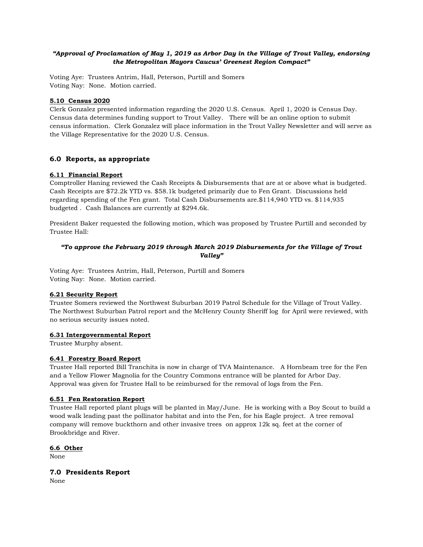# "Approval of Proclamation of May 1, 2019 as Arbor Day in the Village of Trout Valley, endorsing the Metropolitan Mayors Caucus' Greenest Region Compact"

Voting Aye: Trustees Antrim, Hall, Peterson, Purtill and Somers Voting Nay: None. Motion carried.

## 5.10 Census 2020

Clerk Gonzalez presented information regarding the 2020 U.S. Census. April 1, 2020 is Census Day. Census data determines funding support to Trout Valley. There will be an online option to submit census information. Clerk Gonzalez will place information in the Trout Valley Newsletter and will serve as the Village Representative for the 2020 U.S. Census.

### 6.0 Reports, as appropriate

### 6.11 Financial Report

Comptroller Haning reviewed the Cash Receipts & Disbursements that are at or above what is budgeted. Cash Receipts are \$72.2k YTD vs. \$58.1k budgeted primarily due to Fen Grant. Discussions held regarding spending of the Fen grant. Total Cash Disbursements are.\$114,940 YTD vs. \$114,935 budgeted . Cash Balances are currently at \$294.6k.

President Baker requested the following motion, which was proposed by Trustee Purtill and seconded by Trustee Hall:

# "To approve the February 2019 through March 2019 Disbursements for the Village of Trout Valley"

Voting Aye: Trustees Antrim, Hall, Peterson, Purtill and Somers Voting Nay: None. Motion carried.

#### 6.21 Security Report

Trustee Somers reviewed the Northwest Suburban 2019 Patrol Schedule for the Village of Trout Valley. The Northwest Suburban Patrol report and the McHenry County Sheriff log for April were reviewed, with no serious security issues noted.

#### 6.31 Intergovernmental Report

Trustee Murphy absent.

# 6.41 Forestry Board Report

Trustee Hall reported Bill Tranchita is now in charge of TVA Maintenance. A Hornbeam tree for the Fen and a Yellow Flower Magnolia for the Country Commons entrance will be planted for Arbor Day. Approval was given for Trustee Hall to be reimbursed for the removal of logs from the Fen.

## 6.51 Fen Restoration Report

Trustee Hall reported plant plugs will be planted in May/June. He is working with a Boy Scout to build a wood walk leading past the pollinator habitat and into the Fen, for his Eagle project. A tree removal company will remove buckthorn and other invasive trees on approx 12k sq. feet at the corner of Brookbridge and River.

# 6.6 Other

None

# 7.0 Presidents Report

None